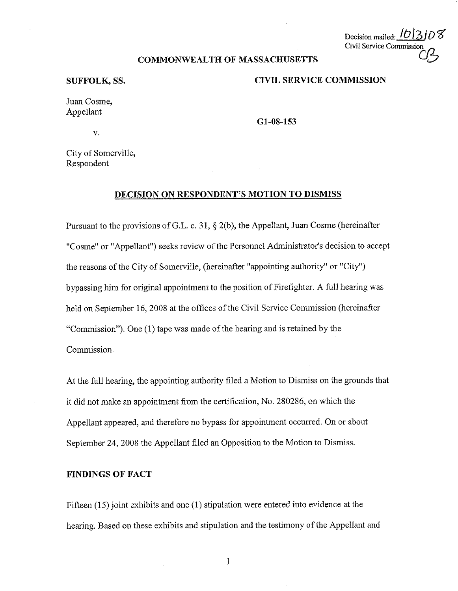# **COMMONWEALTH OF MASSACHUSETTS**

#### **SUFFOLK, SS. CIVIL SERVICE COMMISSION**

Decision mailed: 10 Civil Service Commission

Juan Cosme, Appellant

**Gl-08-153** 

City of Somerville, Respondent

V.

### **DECISION ON RESPONDENT'S MOTION TO DISMISS**

Pursuant to the provisions of G.L. c. 31,  $\S$  2(b), the Appellant, Juan Cosme (hereinafter "Cosme" or "Appellant") seeks review of the Personnel Administrator's decision to accept the reasons of the City of Somerville, (hereinafter "appointing authority" or "City") bypassing him for original appointment to the position of Firefighter. A full hearing was held on September 16, 2008 at the offices of the Civil Service Commission (hereinafter "Commission"). One (1) tape was made of the hearing and is retained by the Commission.

At the full hearing, the appointing authority filed a Motion to Dismiss on the grounds that it did not make an appointment from the certification, No. 280286, on which the Appellant appeared, and therefore no bypass for appointment occurred. On or about September 24, 2008 the Appellant filed an Opposition to the Motion to Dismiss.

### **FINDINGS OF FACT**

Fifteen (15) joint exhibits and one (1) stipulation were entered into evidence at the hearing. Based on these exhibits and stipulation and the testimony of the Appellant and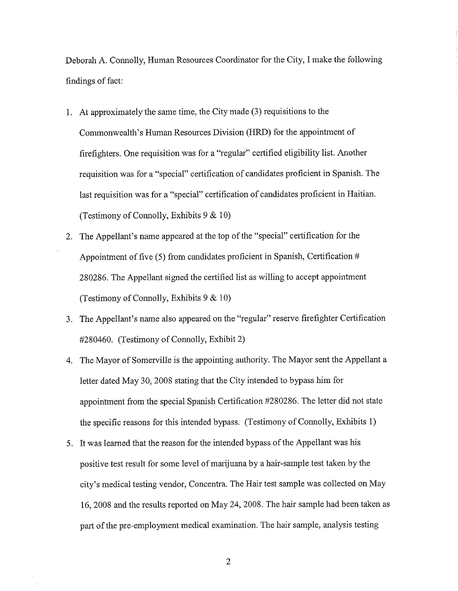Deborah A. Connolly, Human Resources Coordinator for the City, I make the following findings of fact:

- 1. At approximately the same time, the City made (3) requisitions to the Commonwealth's Human Resources Division (HRD) for the appointment of firefighters. One requisition was for a "regular" certified eligibility list. Another requisition was for a "special" certification of candidates proficient in Spanish. The last requisition was for a "special" certification of candidates proficient in Haitian. (Testimony of Connolly, Exhibits  $9 < 10$ )
- 2. The Appellant's name appeared at the top of the "special" certification for the Appointment of five  $(5)$  from candidates proficient in Spanish, Certification # 280286. The Appellant signed the certified list as willing to accept appointment (Testimony of Connolly, Exhibits 9 & 10)
- 3. The Appellant's name also appeared on the "regular" reserve firefighter Certification #280460. (Testimony of Connolly, Exhibit 2)
- 4. The Mayor of Somerville is the appointing authority. The Mayor sent the Appellant a letter dated May 30, 2008 stating that the City intended to bypass him for appointment from the special Spanish Certification #280286. The letter did not state the specific reasons for this intended bypass. (Testimony of Connolly, Exhibits I)
- 5. It was learned that the reason for the intended bypass of the Appellant was his positive test result for some level of marijuana by a hair-sample test taken by the city's medical testing vendor, Concentra. The Hair test sample was collected on May 16, 2008 and the results reported on May 24, 2008. The hair sample had been taken as part of the pre-employment medical examination. The hair sample, analysis testing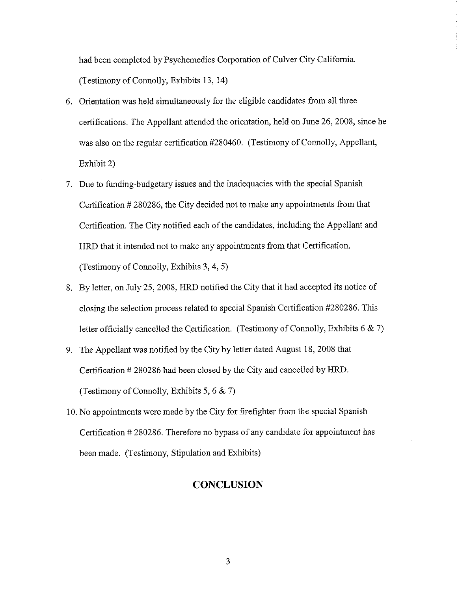had been completed by Psychemedics Corporation of Culver City California. (Testimony of Connolly, Exhibits 13, 14)

- 6. Orientation was held simultaneously for the eligible candidates from all three certifications. The Appellant attended the orientation, held on June 26, 2008, since he was also on the regular certification #280460. (Testimony of Connolly, Appellant, Exhibit 2)
- 7. Due to funding-budgetary issues and the inadequacies with the special Spanish Certification # 280286, the City decided not to make any appointments from that Certification. The City notified each of the candidates, including the Appellant and HRD that it intended not to make any appointments from that Certification. (Testimony of Connolly, Exhibits 3, 4, 5)
- 8. By letter, on July 25, 2008, HRD notified the City that it had accepted its notice of closing the selection process related to special Spanish Certification #280286. This letter officially cancelled the Certification. (Testimony of Connolly, Exhibits 6 & 7)
- 9. The Appellant was notified by the City by letter dated August 18, 2008 that Certification # 280286 had been closed by the City and cancelled by HRD. (Testimony of Connolly, Exhibits 5, 6 & 7)
- 10. No appointments were made by the City for firefighter from the special Spanish Certification # 280286. Therefore no bypass of any candidate for appointment has been made. (Testimony, Stipulation and Exhibits)

## **CONCLUSION**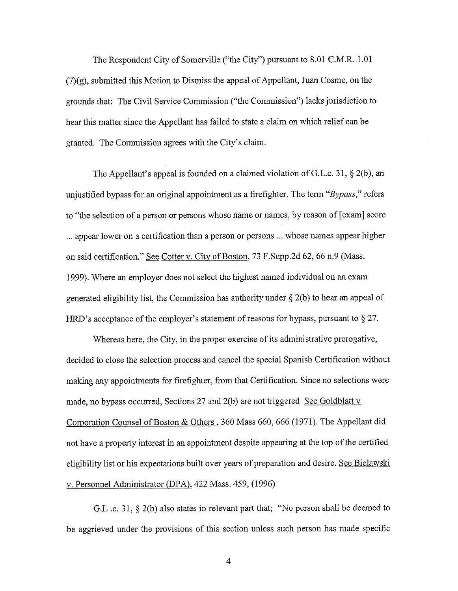The Respondent City of Somerville ("the City") pursuant to 8.01 C.M.R. 1.01 (7)(g), submitted this Motion to Dismiss the appeal of Appellant, Juan Cosme, on the grounds that: The Civil Service Commission ("the Commission") lacks jurisdiction to hear this matter since the Appellant has failed to state a claim on which relief can be granted. The Commission agrees with the City's claim.

The Appellant's appeal is founded on a claimed violation of G.L.c. 31,  $\S$  2(b), an unjustified bypass for an original appointment as a firefighter. The tenn *"Bypass,"* refers to "the selection of a person or persons whose name or names, by reason of [exam] score ... appear lower on a certification than a person or persons ... whose names appear higher on said certification." See Cotter v. City of Boston, 73 F.Supp.2d 62, 66 n.9 (Mass. 1999). Where an employer does not select the highest named individual on an exam generated eligibility list, the Commission has authority under  $\S 2(b)$  to hear an appeal of HRD's acceptance of the employer's statement of reasons for bypass, pursuant to  $\S 27$ .

Whereas here, the City, in the proper exercise of its administrative prerogative, decided to close the selection process and cancel the special Spanish Certification without making any appointments for firefighter, from that Certification. Since no selections were made, no bypass occurred, Sections 27 and 2(b) are not triggered See Goldblatt v Corporation Counsel of Boston & Others, 360 Mass 660, 666 (1971). The Appellant did not have a property interest in an appointment despite appearing at the top of the certified eligibility list or his expectations built over years of preparation and desire. See Bielawski v. Personnel Administrator (DPA), 422 Mass. 459, (1996)

G.L .c. 31, § 2(b) also states in relevant part that; "No person shall be deemed to be aggrieved nnder the provisions of this section unless such person has made specific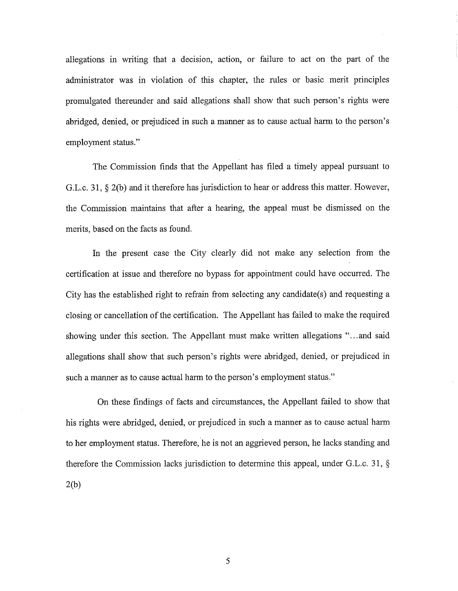allegations in writing that a decision, action, or failure to act on the part of the administrator was in violation of this chapter, the rules or basic merit principles promulgated thereunder and said allegations shall show that such person's rights were abridged, denied, or prejudiced in such a manner as to cause actual harm to the person's employment status."

The Commission finds that the Appellant has filed a timely appeal pursuant to G.L.c. 31, § 2(b) and it therefore has jurisdiction to hear or address this matter. However, the Commission maintains that after a hearing, the appeal must be dismissed on the merits, based on the facts as found.

In the present case the City clearly did not make any selection from the certification at issue and therefore no bypass for appointment could have occurred. The City has the established right to refrain from selecting any candidate(s) and requesting a closing or cancellation of the certification. The Appellant has failed to make the required showing under this section. The Appellant must make written allegations "...and said allegations shall show that such person's rights were abridged, denied, or prejudiced in such a manner as to cause actual harm to the person's employment status."

On these findings of facts and circumstances, the Appellant failed to show that his rights were abridged, denied, or prejudiced in such a manner as to cause actual harm to her employment status. Therefore, he is not an aggrieved person, he lacks standing and therefore the Commission lacks jurisdiction to determine this appeal, under G.L.c. 31, § 2(b)